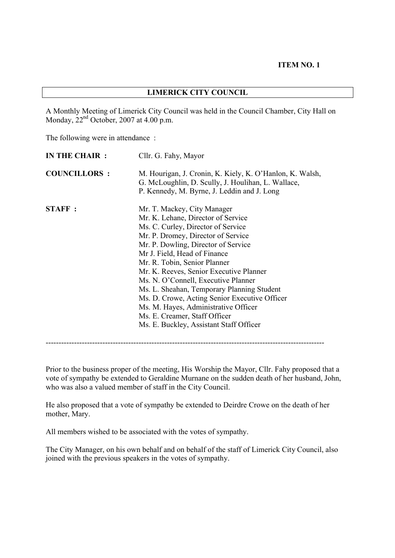#### **ITEM NO. 1**

A Monthly Meeting of Limerick City Council was held in the Council Chamber, City Hall on Monday,  $22<sup>nd</sup>$  October, 2007 at 4.00 p.m.

The following were in attendance :

| <b>COUNCILLORS:</b><br>G. McLoughlin, D. Scully, J. Houlihan, L. Wallace,<br>P. Kennedy, M. Byrne, J. Leddin and J. Long<br><b>STAFF:</b><br>Mr. T. Mackey, City Manager<br>Mr. K. Lehane, Director of Service<br>Ms. C. Curley, Director of Service<br>Mr. P. Dromey, Director of Service<br>Mr. P. Dowling, Director of Service<br>Mr J. Field, Head of Finance<br>Mr. R. Tobin, Senior Planner<br>Mr. K. Reeves, Senior Executive Planner<br>Ms. N. O'Connell, Executive Planner<br>Ms. L. Sheahan, Temporary Planning Student<br>Ms. D. Crowe, Acting Senior Executive Officer<br>Ms. M. Hayes, Administrative Officer<br>Ms. E. Creamer, Staff Officer<br>Ms. E. Buckley, Assistant Staff Officer | IN THE CHAIR : | Cllr. G. Fahy, Mayor                                     |
|--------------------------------------------------------------------------------------------------------------------------------------------------------------------------------------------------------------------------------------------------------------------------------------------------------------------------------------------------------------------------------------------------------------------------------------------------------------------------------------------------------------------------------------------------------------------------------------------------------------------------------------------------------------------------------------------------------|----------------|----------------------------------------------------------|
|                                                                                                                                                                                                                                                                                                                                                                                                                                                                                                                                                                                                                                                                                                        |                | M. Hourigan, J. Cronin, K. Kiely, K. O'Hanlon, K. Walsh, |
|                                                                                                                                                                                                                                                                                                                                                                                                                                                                                                                                                                                                                                                                                                        |                |                                                          |

------------------------------------------------------------------------------------------------------------

Prior to the business proper of the meeting, His Worship the Mayor, Cllr. Fahy proposed that a vote of sympathy be extended to Geraldine Murnane on the sudden death of her husband, John, who was also a valued member of staff in the City Council.

He also proposed that a vote of sympathy be extended to Deirdre Crowe on the death of her mother, Mary.

All members wished to be associated with the votes of sympathy.

The City Manager, on his own behalf and on behalf of the staff of Limerick City Council, also joined with the previous speakers in the votes of sympathy.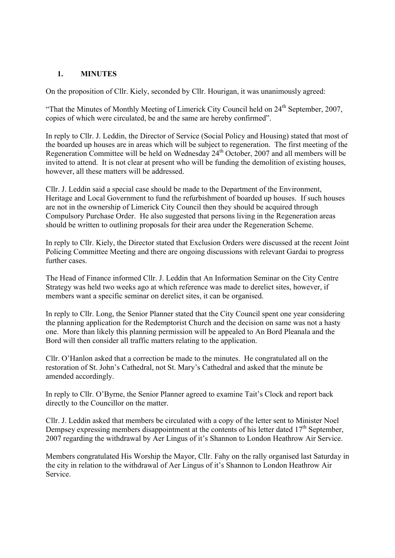### **1. MINUTES**

On the proposition of Cllr. Kiely, seconded by Cllr. Hourigan, it was unanimously agreed:

"That the Minutes of Monthly Meeting of Limerick City Council held on  $24<sup>th</sup>$  September, 2007, copies of which were circulated, be and the same are hereby confirmed".

In reply to Cllr. J. Leddin, the Director of Service (Social Policy and Housing) stated that most of the boarded up houses are in areas which will be subject to regeneration. The first meeting of the Regeneration Committee will be held on Wednesday 24<sup>th</sup> October, 2007 and all members will be invited to attend. It is not clear at present who will be funding the demolition of existing houses, however, all these matters will be addressed.

Cllr. J. Leddin said a special case should be made to the Department of the Environment, Heritage and Local Government to fund the refurbishment of boarded up houses. If such houses are not in the ownership of Limerick City Council then they should be acquired through Compulsory Purchase Order. He also suggested that persons living in the Regeneration areas should be written to outlining proposals for their area under the Regeneration Scheme.

In reply to Cllr. Kiely, the Director stated that Exclusion Orders were discussed at the recent Joint Policing Committee Meeting and there are ongoing discussions with relevant Gardai to progress further cases

The Head of Finance informed Cllr. J. Leddin that An Information Seminar on the City Centre Strategy was held two weeks ago at which reference was made to derelict sites, however, if members want a specific seminar on derelict sites, it can be organised.

In reply to Cllr. Long, the Senior Planner stated that the City Council spent one year considering the planning application for the Redemptorist Church and the decision on same was not a hasty one. More than likely this planning permission will be appealed to An Bord Pleanala and the Bord will then consider all traffic matters relating to the application.

Cllr. O'Hanlon asked that a correction be made to the minutes. He congratulated all on the restoration of St. John's Cathedral, not St. Mary's Cathedral and asked that the minute be amended accordingly.

In reply to Cllr. O'Byrne, the Senior Planner agreed to examine Tait's Clock and report back directly to the Councillor on the matter.

Cllr. J. Leddin asked that members be circulated with a copy of the letter sent to Minister Noel Dempsey expressing members disappointment at the contents of his letter dated  $17<sup>th</sup>$  September, 2007 regarding the withdrawal by Aer Lingus of it's Shannon to London Heathrow Air Service.

Members congratulated His Worship the Mayor, Cllr. Fahy on the rally organised last Saturday in the city in relation to the withdrawal of Aer Lingus of it's Shannon to London Heathrow Air Service.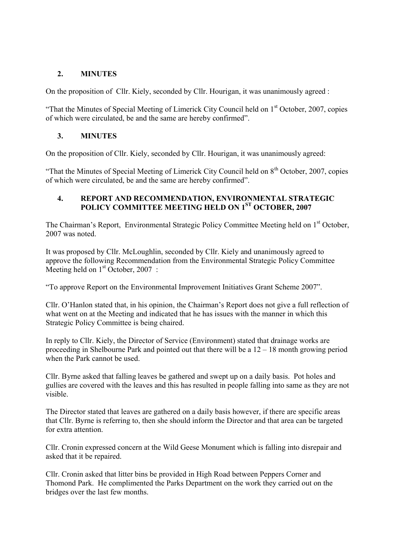### **2. MINUTES**

On the proposition of Cllr. Kiely, seconded by Cllr. Hourigan, it was unanimously agreed :

"That the Minutes of Special Meeting of Limerick City Council held on  $1<sup>st</sup>$  October, 2007, copies of which were circulated, be and the same are hereby confirmed".

### **3. MINUTES**

On the proposition of Cllr. Kiely, seconded by Cllr. Hourigan, it was unanimously agreed:

"That the Minutes of Special Meeting of Limerick City Council held on 8<sup>th</sup> October, 2007, copies of which were circulated, be and the same are hereby confirmed".

### **4. REPORT AND RECOMMENDATION, ENVIRONMENTAL STRATEGIC POLICY COMMITTEE MEETING HELD ON 1ST OCTOBER, 2007**

The Chairman's Report, Environmental Strategic Policy Committee Meeting held on 1<sup>st</sup> October, 2007 was noted.

It was proposed by Cllr. McLoughlin, seconded by Cllr. Kiely and unanimously agreed to approve the following Recommendation from the Environmental Strategic Policy Committee Meeting held on  $1<sup>st</sup>$  October, 2007 :

"To approve Report on the Environmental Improvement Initiatives Grant Scheme 2007".

Cllr. O'Hanlon stated that, in his opinion, the Chairman's Report does not give a full reflection of what went on at the Meeting and indicated that he has issues with the manner in which this Strategic Policy Committee is being chaired.

In reply to Cllr. Kiely, the Director of Service (Environment) stated that drainage works are proceeding in Shelbourne Park and pointed out that there will be a 12 – 18 month growing period when the Park cannot be used.

Cllr. Byrne asked that falling leaves be gathered and swept up on a daily basis. Pot holes and gullies are covered with the leaves and this has resulted in people falling into same as they are not visible.

The Director stated that leaves are gathered on a daily basis however, if there are specific areas that Cllr. Byrne is referring to, then she should inform the Director and that area can be targeted for extra attention.

Cllr. Cronin expressed concern at the Wild Geese Monument which is falling into disrepair and asked that it be repaired.

Cllr. Cronin asked that litter bins be provided in High Road between Peppers Corner and Thomond Park. He complimented the Parks Department on the work they carried out on the bridges over the last few months.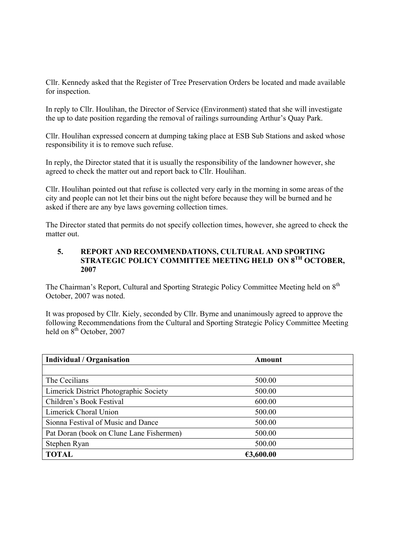Cllr. Kennedy asked that the Register of Tree Preservation Orders be located and made available for inspection.

In reply to Cllr. Houlihan, the Director of Service (Environment) stated that she will investigate the up to date position regarding the removal of railings surrounding Arthur's Quay Park.

Cllr. Houlihan expressed concern at dumping taking place at ESB Sub Stations and asked whose responsibility it is to remove such refuse.

In reply, the Director stated that it is usually the responsibility of the landowner however, she agreed to check the matter out and report back to Cllr. Houlihan.

Cllr. Houlihan pointed out that refuse is collected very early in the morning in some areas of the city and people can not let their bins out the night before because they will be burned and he asked if there are any bye laws governing collection times.

The Director stated that permits do not specify collection times, however, she agreed to check the matter out.

### **5. REPORT AND RECOMMENDATIONS, CULTURAL AND SPORTING STRATEGIC POLICY COMMITTEE MEETING HELD ON 8TH OCTOBER, 2007**

The Chairman's Report, Cultural and Sporting Strategic Policy Committee Meeting held on 8<sup>th</sup> October, 2007 was noted.

It was proposed by Cllr. Kiely, seconded by Cllr. Byrne and unanimously agreed to approve the following Recommendations from the Cultural and Sporting Strategic Policy Committee Meeting held on  $8^{th}$  October, 2007

| <b>Individual / Organisation</b>         | Amount    |  |
|------------------------------------------|-----------|--|
|                                          |           |  |
| The Cecilians                            | 500.00    |  |
| Limerick District Photographic Society   | 500.00    |  |
| Children's Book Festival                 | 600.00    |  |
| Limerick Choral Union                    | 500.00    |  |
| Sionna Festival of Music and Dance       | 500.00    |  |
| Pat Doran (book on Clune Lane Fishermen) | 500.00    |  |
| Stephen Ryan                             | 500.00    |  |
| <b>TOTAL</b>                             | €3,600.00 |  |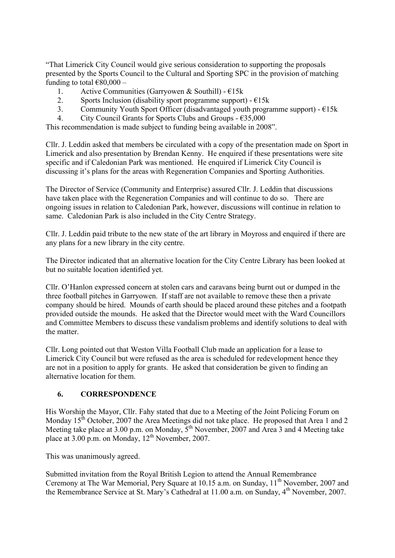"That Limerick City Council would give serious consideration to supporting the proposals presented by the Sports Council to the Cultural and Sporting SPC in the provision of matching funding to total  $€80,000 -$ 

- 1. Active Communities (Garryowen & Southill)  $E15k$
- 2. Sports Inclusion (disability sport programme support)  $E15k$
- 3. Community Youth Sport Officer (disadvantaged youth programme support)  $E15k$
- 4. City Council Grants for Sports Clubs and Groups  $-635,000$

This recommendation is made subject to funding being available in 2008".

Cllr. J. Leddin asked that members be circulated with a copy of the presentation made on Sport in Limerick and also presentation by Brendan Kenny. He enquired if these presentations were site specific and if Caledonian Park was mentioned. He enquired if Limerick City Council is discussing it's plans for the areas with Regeneration Companies and Sporting Authorities.

The Director of Service (Community and Enterprise) assured Cllr. J. Leddin that discussions have taken place with the Regeneration Companies and will continue to do so. There are ongoing issues in relation to Caledonian Park, however, discussions will continue in relation to same. Caledonian Park is also included in the City Centre Strategy.

Cllr. J. Leddin paid tribute to the new state of the art library in Moyross and enquired if there are any plans for a new library in the city centre.

The Director indicated that an alternative location for the City Centre Library has been looked at but no suitable location identified yet.

Cllr. O'Hanlon expressed concern at stolen cars and caravans being burnt out or dumped in the three football pitches in Garryowen. If staff are not available to remove these then a private company should be hired. Mounds of earth should be placed around these pitches and a footpath provided outside the mounds. He asked that the Director would meet with the Ward Councillors and Committee Members to discuss these vandalism problems and identify solutions to deal with the matter.

Cllr. Long pointed out that Weston Villa Football Club made an application for a lease to Limerick City Council but were refused as the area is scheduled for redevelopment hence they are not in a position to apply for grants. He asked that consideration be given to finding an alternative location for them.

## **6. CORRESPONDENCE**

His Worship the Mayor, Cllr. Fahy stated that due to a Meeting of the Joint Policing Forum on Monday 15<sup>th</sup> October, 2007 the Area Meetings did not take place. He proposed that Area 1 and 2 Meeting take place at  $3.00$  p.m. on Monday,  $5<sup>th</sup>$  November, 2007 and Area 3 and 4 Meeting take place at  $3.00$  p.m. on Monday,  $12<sup>th</sup>$  November, 2007.

This was unanimously agreed.

Submitted invitation from the Royal British Legion to attend the Annual Remembrance Ceremony at The War Memorial, Pery Square at 10.15 a.m. on Sunday,  $11<sup>th</sup>$  November, 2007 and the Remembrance Service at St. Mary's Cathedral at  $11.00$  a.m. on Sunday,  $4<sup>th</sup>$  November, 2007.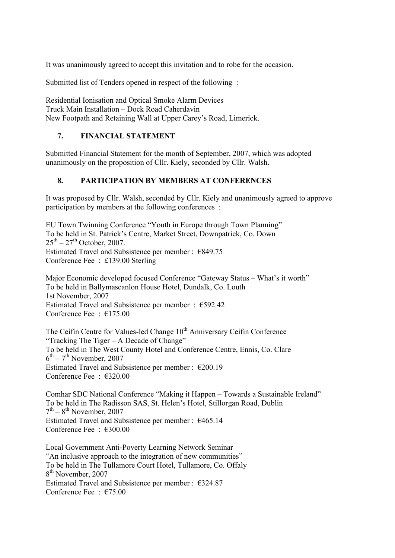It was unanimously agreed to accept this invitation and to robe for the occasion.

Submitted list of Tenders opened in respect of the following :

Residential Ionisation and Optical Smoke Alarm Devices Truck Main Installation – Dock Road Caherdavin New Footpath and Retaining Wall at Upper Carey's Road, Limerick.

## **7. FINANCIAL STATEMENT**

Submitted Financial Statement for the month of September, 2007, which was adopted unanimously on the proposition of Cllr. Kiely, seconded by Cllr. Walsh.

## **8. PARTICIPATION BY MEMBERS AT CONFERENCES**

It was proposed by Cllr. Walsh, seconded by Cllr. Kiely and unanimously agreed to approve participation by members at the following conferences :

EU Town Twinning Conference "Youth in Europe through Town Planning" To be held in St. Patrick's Centre, Market Street, Downpatrick, Co. Down  $25^{th} - 27^{th}$  October, 2007. Estimated Travel and Subsistence per member : €849.75 Conference Fee : £139.00 Sterling

Major Economic developed focused Conference "Gateway Status – What's it worth" To be held in Ballymascanlon House Hotel, Dundalk, Co. Louth 1st November, 2007 Estimated Travel and Subsistence per member : €592.42 Conference Fee : €175.00

The Ceifin Centre for Values-led Change 10<sup>th</sup> Anniversary Ceifin Conference "Tracking The Tiger – A Decade of Change" To be held in The West County Hotel and Conference Centre, Ennis, Co. Clare  $6<sup>th</sup> - 7<sup>th</sup>$  November, 2007 Estimated Travel and Subsistence per member :  $\epsilon$ 200.19 Conference Fee : €320.00

Comhar SDC National Conference "Making it Happen – Towards a Sustainable Ireland" To be held in The Radisson SAS, St. Helen's Hotel, Stillorgan Road, Dublin  $7<sup>th</sup> - 8<sup>th</sup>$  November, 2007 Estimated Travel and Subsistence per member :  $€465.14$ Conference Fee : €300.00

Local Government Anti-Poverty Learning Network Seminar "An inclusive approach to the integration of new communities" To be held in The Tullamore Court Hotel, Tullamore, Co. Offaly 8<sup>th</sup> November, 2007 Estimated Travel and Subsistence per member :  $\epsilon$ 324.87 Conference Fee  $\cdot$   $\in$  75.00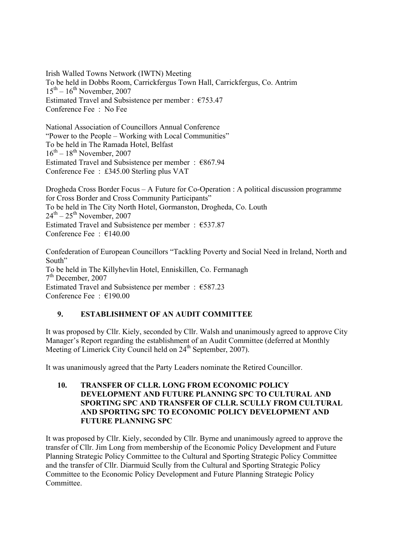Irish Walled Towns Network (IWTN) Meeting To be held in Dobbs Room, Carrickfergus Town Hall, Carrickfergus, Co. Antrim  $15<sup>th</sup> - 16<sup>th</sup>$  November, 2007 Estimated Travel and Subsistence per member : €753.47 Conference Fee : No Fee

National Association of Councillors Annual Conference "Power to the People – Working with Local Communities" To be held in The Ramada Hotel, Belfast  $16^{th}$  –  $18^{th}$  November, 2007 Estimated Travel and Subsistence per member : €867.94 Conference Fee : £345.00 Sterling plus VAT

Drogheda Cross Border Focus – A Future for Co-Operation : A political discussion programme for Cross Border and Cross Community Participants" To be held in The City North Hotel, Gormanston, Drogheda, Co. Louth  $24<sup>th</sup> - 25<sup>th</sup>$  November, 2007 Estimated Travel and Subsistence per member :  $€537.87$ Conference Fee : €140.00

Confederation of European Councillors "Tackling Poverty and Social Need in Ireland, North and South" To be held in The Killyhevlin Hotel, Enniskillen, Co. Fermanagh  $7<sup>th</sup>$  December, 2007 Estimated Travel and Subsistence per member :  $€587.23$ Conference Fee : €190.00

## **9. ESTABLISHMENT OF AN AUDIT COMMITTEE**

It was proposed by Cllr. Kiely, seconded by Cllr. Walsh and unanimously agreed to approve City Manager's Report regarding the establishment of an Audit Committee (deferred at Monthly Meeting of Limerick City Council held on 24<sup>th</sup> September, 2007).

It was unanimously agreed that the Party Leaders nominate the Retired Councillor.

**10. TRANSFER OF CLLR. LONG FROM ECONOMIC POLICY DEVELOPMENT AND FUTURE PLANNING SPC TO CULTURAL AND SPORTING SPC AND TRANSFER OF CLLR. SCULLY FROM CULTURAL AND SPORTING SPC TO ECONOMIC POLICY DEVELOPMENT AND FUTURE PLANNING SPC**

It was proposed by Cllr. Kiely, seconded by Cllr. Byrne and unanimously agreed to approve the transfer of Cllr. Jim Long from membership of the Economic Policy Development and Future Planning Strategic Policy Committee to the Cultural and Sporting Strategic Policy Committee and the transfer of Cllr. Diarmuid Scully from the Cultural and Sporting Strategic Policy Committee to the Economic Policy Development and Future Planning Strategic Policy **Committee**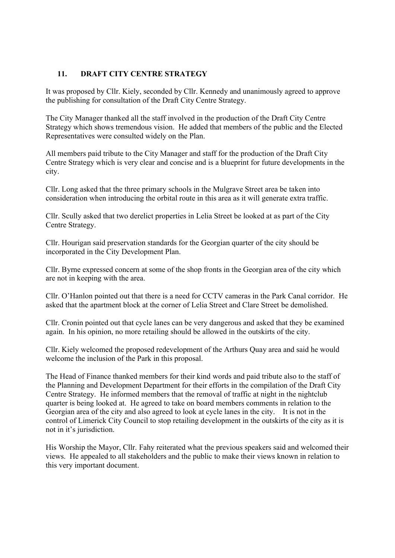### **11. DRAFT CITY CENTRE STRATEGY**

It was proposed by Cllr. Kiely, seconded by Cllr. Kennedy and unanimously agreed to approve the publishing for consultation of the Draft City Centre Strategy.

The City Manager thanked all the staff involved in the production of the Draft City Centre Strategy which shows tremendous vision. He added that members of the public and the Elected Representatives were consulted widely on the Plan.

All members paid tribute to the City Manager and staff for the production of the Draft City Centre Strategy which is very clear and concise and is a blueprint for future developments in the city.

Cllr. Long asked that the three primary schools in the Mulgrave Street area be taken into consideration when introducing the orbital route in this area as it will generate extra traffic.

Cllr. Scully asked that two derelict properties in Lelia Street be looked at as part of the City Centre Strategy.

Cllr. Hourigan said preservation standards for the Georgian quarter of the city should be incorporated in the City Development Plan.

Cllr. Byrne expressed concern at some of the shop fronts in the Georgian area of the city which are not in keeping with the area.

Cllr. O'Hanlon pointed out that there is a need for CCTV cameras in the Park Canal corridor. He asked that the apartment block at the corner of Lelia Street and Clare Street be demolished.

Cllr. Cronin pointed out that cycle lanes can be very dangerous and asked that they be examined again. In his opinion, no more retailing should be allowed in the outskirts of the city.

Cllr. Kiely welcomed the proposed redevelopment of the Arthurs Quay area and said he would welcome the inclusion of the Park in this proposal.

The Head of Finance thanked members for their kind words and paid tribute also to the staff of the Planning and Development Department for their efforts in the compilation of the Draft City Centre Strategy. He informed members that the removal of traffic at night in the nightclub quarter is being looked at. He agreed to take on board members comments in relation to the Georgian area of the city and also agreed to look at cycle lanes in the city. It is not in the control of Limerick City Council to stop retailing development in the outskirts of the city as it is not in it's jurisdiction.

His Worship the Mayor, Cllr. Fahy reiterated what the previous speakers said and welcomed their views. He appealed to all stakeholders and the public to make their views known in relation to this very important document.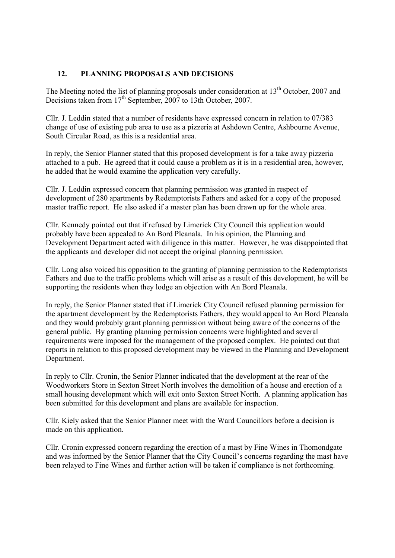### **12. PLANNING PROPOSALS AND DECISIONS**

The Meeting noted the list of planning proposals under consideration at  $13<sup>th</sup>$  October, 2007 and Decisions taken from 17<sup>th</sup> September, 2007 to 13th October, 2007.

Cllr. J. Leddin stated that a number of residents have expressed concern in relation to 07/383 change of use of existing pub area to use as a pizzeria at Ashdown Centre, Ashbourne Avenue, South Circular Road, as this is a residential area.

In reply, the Senior Planner stated that this proposed development is for a take away pizzeria attached to a pub. He agreed that it could cause a problem as it is in a residential area, however, he added that he would examine the application very carefully.

Cllr. J. Leddin expressed concern that planning permission was granted in respect of development of 280 apartments by Redemptorists Fathers and asked for a copy of the proposed master traffic report. He also asked if a master plan has been drawn up for the whole area.

Cllr. Kennedy pointed out that if refused by Limerick City Council this application would probably have been appealed to An Bord Pleanala. In his opinion, the Planning and Development Department acted with diligence in this matter. However, he was disappointed that the applicants and developer did not accept the original planning permission.

Cllr. Long also voiced his opposition to the granting of planning permission to the Redemptorists Fathers and due to the traffic problems which will arise as a result of this development, he will be supporting the residents when they lodge an objection with An Bord Pleanala.

In reply, the Senior Planner stated that if Limerick City Council refused planning permission for the apartment development by the Redemptorists Fathers, they would appeal to An Bord Pleanala and they would probably grant planning permission without being aware of the concerns of the general public. By granting planning permission concerns were highlighted and several requirements were imposed for the management of the proposed complex. He pointed out that reports in relation to this proposed development may be viewed in the Planning and Development Department.

In reply to Cllr. Cronin, the Senior Planner indicated that the development at the rear of the Woodworkers Store in Sexton Street North involves the demolition of a house and erection of a small housing development which will exit onto Sexton Street North. A planning application has been submitted for this development and plans are available for inspection.

Cllr. Kiely asked that the Senior Planner meet with the Ward Councillors before a decision is made on this application.

Cllr. Cronin expressed concern regarding the erection of a mast by Fine Wines in Thomondgate and was informed by the Senior Planner that the City Council's concerns regarding the mast have been relayed to Fine Wines and further action will be taken if compliance is not forthcoming.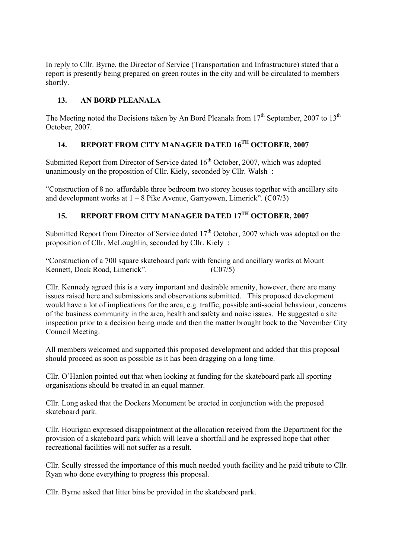In reply to Cllr. Byrne, the Director of Service (Transportation and Infrastructure) stated that a report is presently being prepared on green routes in the city and will be circulated to members shortly.

# **13. AN BORD PLEANALA**

The Meeting noted the Decisions taken by An Bord Pleanala from  $17<sup>th</sup>$  September, 2007 to  $13<sup>th</sup>$ October, 2007.

# **14. REPORT FROM CITY MANAGER DATED 16TH OCTOBER, 2007**

Submitted Report from Director of Service dated 16<sup>th</sup> October, 2007, which was adopted unanimously on the proposition of Cllr. Kiely, seconded by Cllr. Walsh :

"Construction of 8 no. affordable three bedroom two storey houses together with ancillary site and development works at  $1 - 8$  Pike Avenue, Garryowen, Limerick". (C07/3)

# **15. REPORT FROM CITY MANAGER DATED 17TH OCTOBER, 2007**

Submitted Report from Director of Service dated  $17<sup>th</sup>$  October, 2007 which was adopted on the proposition of Cllr. McLoughlin, seconded by Cllr. Kiely :

"Construction of a 700 square skateboard park with fencing and ancillary works at Mount Kennett, Dock Road, Limerick". (C07/5)

Cllr. Kennedy agreed this is a very important and desirable amenity, however, there are many issues raised here and submissions and observations submitted. This proposed development would have a lot of implications for the area, e.g. traffic, possible anti-social behaviour, concerns of the business community in the area, health and safety and noise issues. He suggested a site inspection prior to a decision being made and then the matter brought back to the November City Council Meeting.

All members welcomed and supported this proposed development and added that this proposal should proceed as soon as possible as it has been dragging on a long time.

Cllr. O'Hanlon pointed out that when looking at funding for the skateboard park all sporting organisations should be treated in an equal manner.

Cllr. Long asked that the Dockers Monument be erected in conjunction with the proposed skateboard park.

Cllr. Hourigan expressed disappointment at the allocation received from the Department for the provision of a skateboard park which will leave a shortfall and he expressed hope that other recreational facilities will not suffer as a result.

Cllr. Scully stressed the importance of this much needed youth facility and he paid tribute to Cllr. Ryan who done everything to progress this proposal.

Cllr. Byrne asked that litter bins be provided in the skateboard park.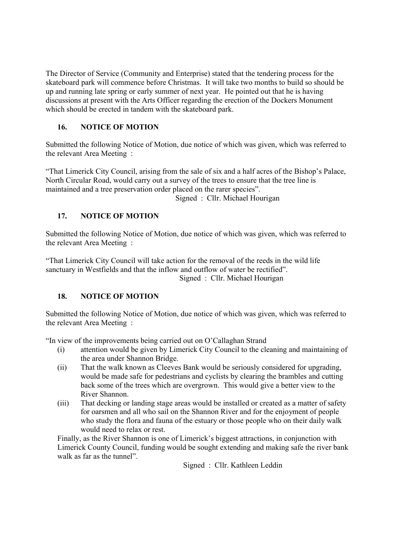The Director of Service (Community and Enterprise) stated that the tendering process for the skateboard park will commence before Christmas. It will take two months to build so should be up and running late spring or early summer of next year. He pointed out that he is having discussions at present with the Arts Officer regarding the erection of the Dockers Monument which should be erected in tandem with the skateboard park.

# **16. NOTICE OF MOTION**

Submitted the following Notice of Motion, due notice of which was given, which was referred to the relevant Area Meeting :

"That Limerick City Council, arising from the sale of six and a half acres of the Bishop's Palace, North Circular Road, would carry out a survey of the trees to ensure that the tree line is maintained and a tree preservation order placed on the rarer species".

Signed : Cllr. Michael Hourigan

# **17. NOTICE OF MOTION**

Submitted the following Notice of Motion, due notice of which was given, which was referred to the relevant Area Meeting :

"That Limerick City Council will take action for the removal of the reeds in the wild life sanctuary in Westfields and that the inflow and outflow of water be rectified".

Signed : Cllr. Michael Hourigan

# **18. NOTICE OF MOTION**

Submitted the following Notice of Motion, due notice of which was given, which was referred to the relevant Area Meeting :

"In view of the improvements being carried out on O'Callaghan Strand

- (i) attention would be given by Limerick City Council to the cleaning and maintaining of the area under Shannon Bridge.
- (ii) That the walk known as Cleeves Bank would be seriously considered for upgrading, would be made safe for pedestrians and cyclists by clearing the brambles and cutting back some of the trees which are overgrown. This would give a better view to the River Shannon.
- (iii) That decking or landing stage areas would be installed or created as a matter of safety for oarsmen and all who sail on the Shannon River and for the enjoyment of people who study the flora and fauna of the estuary or those people who on their daily walk would need to relax or rest.

Finally, as the River Shannon is one of Limerick's biggest attractions, in conjunction with Limerick County Council, funding would be sought extending and making safe the river bank walk as far as the tunnel".

Signed : Cllr. Kathleen Leddin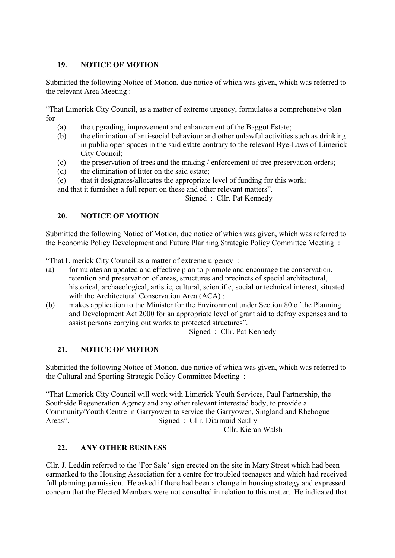## **19. NOTICE OF MOTION**

Submitted the following Notice of Motion, due notice of which was given, which was referred to the relevant Area Meeting :

"That Limerick City Council, as a matter of extreme urgency, formulates a comprehensive plan for

- (a) the upgrading, improvement and enhancement of the Baggot Estate;
- (b) the elimination of anti-social behaviour and other unlawful activities such as drinking in public open spaces in the said estate contrary to the relevant Bye-Laws of Limerick City Council;
- (c) the preservation of trees and the making / enforcement of tree preservation orders;
- (d) the elimination of litter on the said estate;
- (e) that it designates/allocates the appropriate level of funding for this work;

and that it furnishes a full report on these and other relevant matters".

Signed : Cllr. Pat Kennedy

## **20. NOTICE OF MOTION**

Submitted the following Notice of Motion, due notice of which was given, which was referred to the Economic Policy Development and Future Planning Strategic Policy Committee Meeting :

"That Limerick City Council as a matter of extreme urgency :

- (a) formulates an updated and effective plan to promote and encourage the conservation, retention and preservation of areas, structures and precincts of special architectural, historical, archaeological, artistic, cultural, scientific, social or technical interest, situated with the Architectural Conservation Area (ACA) ;
- (b) makes application to the Minister for the Environment under Section 80 of the Planning and Development Act 2000 for an appropriate level of grant aid to defray expenses and to assist persons carrying out works to protected structures".

Signed : Cllr. Pat Kennedy

## **21. NOTICE OF MOTION**

Submitted the following Notice of Motion, due notice of which was given, which was referred to the Cultural and Sporting Strategic Policy Committee Meeting :

"That Limerick City Council will work with Limerick Youth Services, Paul Partnership, the Southside Regeneration Agency and any other relevant interested body, to provide a Community/Youth Centre in Garryowen to service the Garryowen, Singland and Rhebogue<br>Areas". Signed: Cllr. Diarmuid Scully Signed: Cllr. Diarmuid Scully

Cllr. Kieran Walsh

## **22. ANY OTHER BUSINESS**

Cllr. J. Leddin referred to the 'For Sale' sign erected on the site in Mary Street which had been earmarked to the Housing Association for a centre for troubled teenagers and which had received full planning permission. He asked if there had been a change in housing strategy and expressed concern that the Elected Members were not consulted in relation to this matter. He indicated that